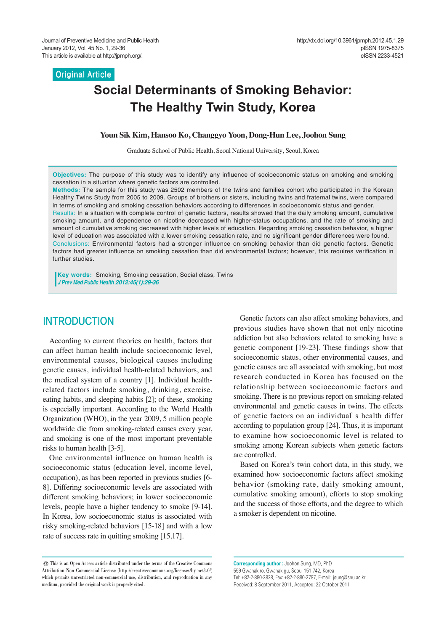**Original Article**

# **Social Determinants of Smoking Behavior: The Healthy Twin Study, Korea**

#### **Youn Sik Kim, Hansoo Ko, Changgyo Yoon, Dong-Hun Lee, Joohon Sung**

Graduate School of Public Health, Seoul National University, Seoul, Korea

**Objectives:** The purpose of this study was to identify any influence of socioeconomic status on smoking and smoking cessation in a situation where genetic factors are controlled.

**Methods:** The sample for this study was 2502 members of the twins and families cohort who participated in the Korean Healthy Twins Study from 2005 to 2009. Groups of brothers or sisters, including twins and fraternal twins, were compared in terms of smoking and smoking cessation behaviors according to differences in socioeconomic status and gender. Results: In a situation with complete control of genetic factors, results showed that the daily smoking amount, cumulative smoking amount, and dependence on nicotine decreased with higher-status occupations, and the rate of smoking and amount of cumulative smoking decreased with higher levels of education. Regarding smoking cessation behavior, a higher level of education was associated with a lower smoking cessation rate, and no significant gender differences were found. Conclusions: Environmental factors had a stronger influence on smoking behavior than did genetic factors. Genetic factors had greater influence on smoking cessation than did environmental factors; however, this requires verification in further studies.

**Key words:** Smoking, Smoking cessation, Social class, Twins *J Prev Med Public Health 2012;45(1):29-36*

## **INTRODUCTION**

According to current theories on health, factors that can affect human health include socioeconomic level, environmental causes, biological causes including genetic causes, individual health-related behaviors, and the medical system of a country [1]. Individual healthrelated factors include smoking, drinking, exercise, eating habits, and sleeping habits [2]; of these, smoking is especially important. According to the World Health Organization (WHO), in the year 2009, 5 million people worldwide die from smoking-related causes every year, and smoking is one of the most important preventable risks to human health [3-5].

One environmental influence on human health is socioeconomic status (education level, income level, occupation), as has been reported in previous studies [6- 8]. Differing socioeconomic levels are associated with different smoking behaviors; in lower socioeconomic levels, people have a higher tendency to smoke [9-14]. In Korea, low socioeconomic status is associated with risky smoking-related behaviors [15-18] and with a low rate of success rate in quitting smoking [15,17].

Genetic factors can also affect smoking behaviors, and previous studies have shown that not only nicotine addiction but also behaviors related to smoking have a genetic component [19-23]. These findings show that socioeconomic status, other environmental causes, and genetic causes are all associated with smoking, but most research conducted in Korea has focused on the relationship between socioeconomic factors and smoking. There is no previous report on smoking-related environmental and genetic causes in twins. The effects of genetic factors on an individual's health differ according to population group [24]. Thus, it is important to examine how socioeconomic level is related to smoking among Korean subjects when genetic factors are controlled.

Based on Korea's twin cohort data, in this study, we examined how socioeconomic factors affect smoking behavior (smoking rate, daily smoking amount, cumulative smoking amount), efforts to stop smoking and the success of those efforts, and the degree to which a smoker is dependent on nicotine.

**Corresponding author :** Joohon Sung, MD, PhD 559 Gwanak-ro, Gwanak-gu, Seoul 151-742, Korea Tel: +82-2-880-2828, Fax: +82-2-880-2787, E-mail: jsung@snu.ac.kr Received: 8 September 2011, Accepted: 22 October 2011

<sup>©</sup> This is an Open Access article distributed under the terms of the Creative Commons Attribution Non-Commercial License (http://creativecommons.org/licenses/by-nc/3.0/) which permits unrestricted non-commercial use, distribution, and reproduction in any medium, provided the original work is properly cited.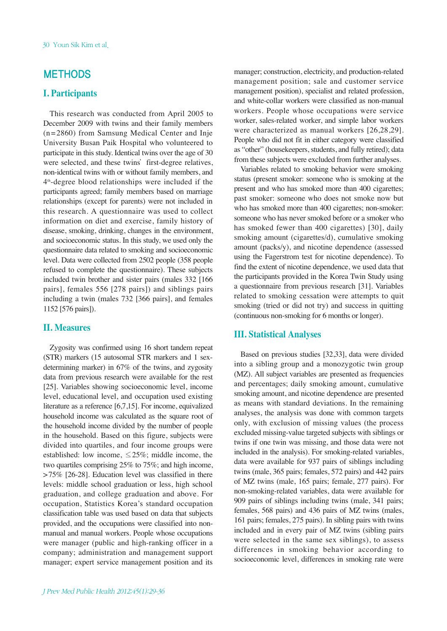## **METHODS**

## **I. Participants**

This research was conducted from April 2005 to December 2009 with twins and their family members (n=2860) from Samsung Medical Center and Inje University Busan Paik Hospital who volunteered to participate in this study. Identical twins over the age of 30 were selected, and these twins' first-degree relatives, non-identical twins with or without family members, and 4th-degree blood relationships were included if the participants agreed; family members based on marriage relationships (except for parents) were not included in this research. A questionnaire was used to collect information on diet and exercise, family history of disease, smoking, drinking, changes in the environment, and socioeconomic status. In this study, we used only the questionnaire data related to smoking and socioeconomic level. Data were collected from 2502 people (358 people refused to complete the questionnaire). These subjects included twin brother and sister pairs (males 332 [166 pairs], females 556 [278 pairs]) and siblings pairs including a twin (males 732 [366 pairs], and females 1152 [576 pairs]).

#### **II. Measures**

Zygosity was confirmed using 16 short tandem repeat (STR) markers (15 autosomal STR markers and 1 sexdetermining marker) in 67% of the twins, and zygosity data from previous research were available for the rest [25]. Variables showing socioeconomic level, income level, educational level, and occupation used existing literature as a reference [6,7,15]. For income, equivalized household income was calculated as the square root of the household income divided by the number of people in the household. Based on this figure, subjects were divided into quartiles, and four income groups were established: low income,  $\leq$  25%; middle income, the two quartiles comprising 25% to 75%; and high income, >75% [26-28]. Education level was classified in there levels: middle school graduation or less, high school graduation, and college graduation and above. For occupation, Statistics Korea's standard occupation classification table was used based on data that subjects provided, and the occupations were classified into nonmanual and manual workers. People whose occupations were manager (public and high-ranking officer in a company; administration and management support manager; expert service management position and its

manager; construction, electricity, and production-related management position; sale and customer service management position), specialist and related profession, and white-collar workers were classified as non-manual workers. People whose occupations were service worker, sales-related worker, and simple labor workers were characterized as manual workers [26,28,29]. People who did not fit in either category were classified as "other" (housekeepers, students, and fully retired); data from these subjects were excluded from further analyses.

Variables related to smoking behavior were smoking status (present smoker: someone who is smoking at the present and who has smoked more than 400 cigarettes; past smoker: someone who does not smoke now but who has smoked more than 400 cigarettes; non-smoker: someone who has never smoked before or a smoker who has smoked fewer than 400 cigarettes) [30], daily smoking amount (cigarettes/d), cumulative smoking amount (packs/y), and nicotine dependence (assessed using the Fagerstrom test for nicotine dependence). To find the extent of nicotine dependence, we used data that the participants provided in the Korea Twin Study using a questionnaire from previous research [31]. Variables related to smoking cessation were attempts to quit smoking (tried or did not try) and success in quitting (continuous non-smoking for 6 months or longer).

#### **III. Statistical Analyses**

Based on previous studies [32,33], data were divided into a sibling group and a monozygotic twin group (MZ). All subject variables are presented as frequencies and percentages; daily smoking amount, cumulative smoking amount, and nicotine dependence are presented as means with standard deviations. In the remaining analyses, the analysis was done with common targets only, with exclusion of missing values (the process excluded missing-value targeted subjects with siblings or twins if one twin was missing, and those data were not included in the analysis). For smoking-related variables, data were available for 937 pairs of siblings including twins (male, 365 pairs; females, 572 pairs) and 442 pairs of MZ twins (male, 165 pairs; female, 277 pairs). For non-smoking-related variables, data were available for 909 pairs of siblings including twins (male, 341 pairs; females, 568 pairs) and 436 pairs of MZ twins (males, 161 pairs; females, 275 pairs). In sibling pairs with twins included and in every pair of MZ twins (sibling pairs were selected in the same sex siblings), to assess differences in smoking behavior according to socioeconomic level, differences in smoking rate were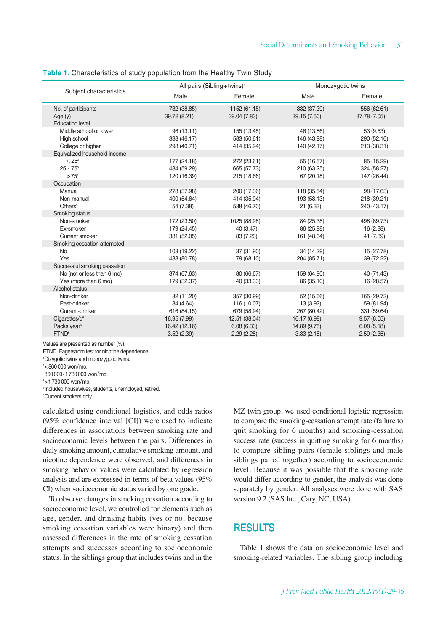#### **Table 1.** Characteristics of study population from the Healthy Twin Study

| Subject characteristics                                                         | All pairs (Sibling+twins) <sup>1</sup>      |                                           |                                            | Monozygotic twins                        |  |  |  |  |  |
|---------------------------------------------------------------------------------|---------------------------------------------|-------------------------------------------|--------------------------------------------|------------------------------------------|--|--|--|--|--|
|                                                                                 | Male                                        | Female                                    | Male                                       | Female                                   |  |  |  |  |  |
| No. of participants<br>Age $(y)$<br><b>Education level</b>                      | 732 (38.85)<br>39.72 (8.21)                 | 1152 (61.15)<br>39.04 (7.83)              | 332 (37.39)<br>39.15 (7.50)                | 556 (62.61)<br>37.78 (7.05)              |  |  |  |  |  |
| Middle school or lower<br>High school<br>College or higher                      | 96 (13.11)<br>338 (46.17)<br>298 (40.71)    | 155 (13.45)<br>583 (50.61)<br>414 (35.94) | 46 (13.86)<br>146 (43.98)<br>140 (42.17)   | 53 (9.53)<br>290 (52.16)<br>213 (38.31)  |  |  |  |  |  |
| Equivalized household income<br>$< 25^2$<br>$25 - 75^3$<br>$>75^{4}$            | 177 (24.18)<br>434 (59.29)<br>120 (16.39)   | 272 (23.61)<br>665 (57.73)<br>215 (18.66) | 55 (16.57)<br>210 (63.25)<br>67 (20.18)    | 85 (15.29)<br>324 (58.27)<br>147 (26.44) |  |  |  |  |  |
| Occupation<br>Manual<br>Non-manual<br>Others <sup>5</sup>                       | 278 (37.98)<br>400 (54.64)<br>54 (7.38)     | 200 (17.36)<br>414 (35.94)<br>538 (46.70) | 118 (35.54)<br>193 (58.13)<br>21 (6.33)    | 98 (17.63)<br>218 (39.21)<br>240 (43.17) |  |  |  |  |  |
| Smoking status<br>Non-smoker<br>Ex-smoker<br>Current smoker                     | 172 (23.50)<br>179 (24.45)<br>381 (52.05)   | 1025 (88.98)<br>40 (3.47)<br>83 (7.20)    | 84 (25.38)<br>86 (25.98)<br>161 (48.64)    | 498 (89.73)<br>16 (2.88)<br>41 (7.39)    |  |  |  |  |  |
| Smoking cessation attempted<br><b>No</b><br>Yes<br>Successful smoking cessation | 103 (19.22)<br>433 (80.78)                  | 37 (31.90)<br>79 (68.10)                  | 34 (14.29)<br>204 (85.71)                  | 15 (27.78)<br>39 (72.22)                 |  |  |  |  |  |
| No (not or less than 6 mo)<br>Yes (more than 6 mo)<br>Alcohol status            | 374 (67.63)<br>179 (32.37)                  | 80 (66.67)<br>40 (33.33)                  | 159 (64.90)<br>86 (35.10)                  | 40 (71.43)<br>16 (28.57)                 |  |  |  |  |  |
| Non-drinker<br>Past-drinker<br>Current-drinker                                  | 82 (11.20)<br>34 (4.64)<br>616 (84.15)      | 357 (30.99)<br>116 (10.07)<br>679 (58.94) | 52 (15.66)<br>13 (3.92)<br>267 (80.42)     | 165 (29.73)<br>59 (81.94)<br>331 (59.64) |  |  |  |  |  |
| Cigarettes/d <sup>6</sup><br>Packs year <sup>6</sup><br>FTND <sup>6</sup>       | 16.95 (7.99)<br>16.42 (12.16)<br>3.52(2.39) | 12.51 (38.04)<br>6.08(6.33)<br>2.29(2.28) | 16.17 (6.99)<br>14.89 (9.75)<br>3.33(2.18) | 9.57(6.05)<br>6.08(5.18)<br>2.59(2.35)   |  |  |  |  |  |

Values are presented as number (%).

FTND, Fagerstrom test for nicotine dependence.

1 Dizygotic twins and monozygotic twins.

2 <860000 won/mo.

3 860000-1730000 won/mo.

 $4$  > 1.730.000 won/mo.

5 Included housewives, students, unemployed, retired.

6 Current smokers only.

calculated using conditional logistics, and odds ratios (95% confidence interval [CI]) were used to indicate differences in associations between smoking rate and socioeconomic levels between the pairs. Differences in daily smoking amount, cumulative smoking amount, and nicotine dependence were observed, and differences in smoking behavior values were calculated by regression analysis and are expressed in terms of beta values (95% CI) when socioeconomic status varied by one grade.

To observe changes in smoking cessation according to socioeconomic level, we controlled for elements such as age, gender, and drinking habits (yes or no, because smoking cessation variables were binary) and then assessed differences in the rate of smoking cessation attempts and successes according to socioeconomic status. In the siblings group that includes twins and in the MZ twin group, we used conditional logistic regression to compare the smoking-cessation attempt rate (failure to quit smoking for 6 months) and smoking-cessation success rate (success in quitting smoking for 6 months) to compare sibling pairs (female siblings and male siblings paired together) according to socioeconomic level. Because it was possible that the smoking rate would differ according to gender, the analysis was done separately by gender. All analyses were done with SAS version 9.2 (SAS Inc., Cary, NC, USA).

## RESULTS

Table 1 shows the data on socioeconomic level and smoking-related variables. The sibling group including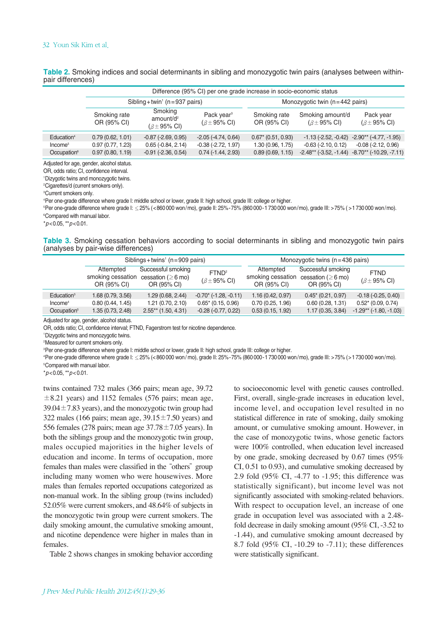| Difference (95% CI) per one grade increase in socio-economic status |                             |                                                                   |                                                         |                                          |                                                   |                                                                  |  |  |  |
|---------------------------------------------------------------------|-----------------------------|-------------------------------------------------------------------|---------------------------------------------------------|------------------------------------------|---------------------------------------------------|------------------------------------------------------------------|--|--|--|
|                                                                     |                             | Sibling + twin <sup><math>1</math></sup> (n = 937 pairs)          |                                                         | Monozygotic twin $(n=442 \text{ pairs})$ |                                                   |                                                                  |  |  |  |
|                                                                     | Smoking rate<br>OR (95% CI) | Smoking<br>amount/d <sup>2</sup><br>$(\beta \pm 95\% \text{ Cl})$ | Pack year <sup>3</sup><br>$(\beta \pm 95\% \text{ Cl})$ | Smoking rate<br>OR (95% CI)              | Smoking amount/d<br>$(\beta \pm 95\% \text{ Cl})$ | Pack year<br>$(\beta \pm 95\% \text{ Cl})$                       |  |  |  |
| Education <sup>4</sup>                                              | 0.79(0.62, 1.01)            | $-0.87$ $(-2.69, 0.95)$                                           | $-2.05(-4.74, 0.64)$                                    | $0.67*$ (0.51, 0.93)                     | $-1.13$ ( $-2.52$ , $-0.42$ )                     | $-2.90**$ (-4.77, -1.95)                                         |  |  |  |
| Income <sup>5</sup>                                                 | 0.97(0.77, 1.23)            | $0.65$ ( $-0.84$ , $2.14$ )                                       | $-0.38$ $(-2.72, 1.97)$                                 | 1.30 (0.96, 1.75)                        | $-0.63$ $(-2.10, 0.12)$                           | $-0.08$ $(-2.12, 0.96)$                                          |  |  |  |
| Occupation <sup>6</sup>                                             | 0.97(0.80, 1.19)            | $-0.91$ $(-2.36, 0.54)$                                           | $0.74$ ( $-1.44$ , 2.93)                                | 0.89(0.69, 1.15)                         |                                                   | $-2.48**$ ( $-3.52$ , $-1.44$ ) $-8.70**$ ( $-10.29$ , $-7.11$ ) |  |  |  |

**Table 2.** Smoking indices and social determinants in sibling and monozygotic twin pairs (analyses between withinpair differences)

Adjusted for age, gender, alcohol status.

OR, odds ratio; CI, confidence interval.

1 Dizygotic twins and monozygotic twins.

2 Cigarettes/d (current smokers only).

3 Current smokers only.

4 Per one-grade difference where grade I: middle school or lower, grade II: high school, grade III: college or higher.

5 Per one-grade difference where grade I: ≤25% (<860000 won/mo), grade II: 25%-75% (860 000-1730000 won/mo), grade III: >75% ( >1730000 won/mo). 6 Compared with manual labor.

\**p*<0.05, \*\**p*<0.01.

**Table 3.** Smoking cessation behaviors according to social determinants in sibling and monozygotic twin pairs (analyses by pair-wise differences)

|                         |                                               | Siblings + twins <sup>1</sup> ( $n = 909$ pairs)              |                                                    | Monozygotic twins $(n=436 \text{ pairs})$ |                                                                                 |                                              |  |
|-------------------------|-----------------------------------------------|---------------------------------------------------------------|----------------------------------------------------|-------------------------------------------|---------------------------------------------------------------------------------|----------------------------------------------|--|
|                         | Attempted<br>smoking cessation<br>OR (95% CI) | Successful smoking<br>cessation ( $\geq$ 6 mo)<br>OR (95% CI) | FTND <sup>2</sup><br>$(\beta \pm 95\% \text{ Cl})$ | Attempted<br>OR (95% CI)                  | Successful smoking<br>smoking cessation cessation ( $\geq$ 6 mo)<br>OR (95% CI) | <b>FTND</b><br>$(\beta \pm 95\% \text{ Cl})$ |  |
| Education <sup>3</sup>  | 1.68 (0.79, 3.56)                             | 1.29(0.68, 2.44)                                              | $-0.70$ $(-1.28, -0.11)$                           | 1.16(0.42, 0.97)                          | $0.45*(0.21, 0.97)$                                                             | $-0.18(-0.25, 0.40)$                         |  |
| Income <sup>4</sup>     | 0.80(0.44, 1.45)                              | 1.21(0.70, 2.10)                                              | $0.65*$ (0.15, 0.96)                               | 0.70(0.25, 1.96)                          | 0.60(0.28, 1.31)                                                                | $0.52*$ (0.09, 0.74)                         |  |
| Occupation <sup>5</sup> | 1.35 (0.73, 2.48)                             | $2.55**$ (1.50, 4.31)                                         | $-0.28(-0.77, 0.22)$                               | 0.53(0.15, 1.92)                          | 1.17(0.35, 3.84)                                                                | $-1.29**$ ( $-1.80$ , $-1.03$ )              |  |

Adjusted for age, gender, alcohol status.

OR, odds ratio; CI, confidence interval; FTND, Fagerstrom test for nicotine dependence.

1 Dizygotic twins and monozygotic twins.

2 Measured for current smokers only.

3 Per one-grade difference where grade I: middle school or lower, grade II: high school, grade III: college or higher.

4 Per one-grade difference where grade I: ≤25% (<860000 won/ mo), grade II: 25%-75% (860 000-1730000 won/mo), grade III: >75% (>1730000 won/mo). 5 Compared with manual labor.

\**p*<0.05, \*\**p*<0.01.

twins contained 732 males (366 pairs; mean age, 39.72  $\pm 8.21$  years) and 1152 females (576 pairs; mean age,  $39.04 \pm 7.83$  years), and the monozygotic twin group had 322 males (166 pairs; mean age,  $39.15 \pm 7.50$  years) and 556 females (278 pairs; mean age  $37.78 \pm 7.05$  years). In both the siblings group and the monozygotic twin group, males occupied majorities in the higher levels of education and income. In terms of occupation, more females than males were classified in the "others" group including many women who were housewives. More males than females reported occupations categorized as non-manual work. In the sibling group (twins included) 52.05% were current smokers, and 48.64% of subjects in the monozygotic twin group were current smokers. The daily smoking amount, the cumulative smoking amount, and nicotine dependence were higher in males than in females.

Table 2 shows changes in smoking behavior according

to socioeconomic level with genetic causes controlled. First, overall, single-grade increases in education level, income level, and occupation level resulted in no statistical difference in rate of smoking, daily smoking amount, or cumulative smoking amount. However, in the case of monozygotic twins, whose genetic factors were 100% controlled, when education level increased by one grade, smoking decreased by 0.67 times (95% CI, 0.51 to 0.93), and cumulative smoking decreased by 2.9 fold (95% CI, -4.77 to -1.95; this difference was statistically significant), but income level was not significantly associated with smoking-related behaviors. With respect to occupation level, an increase of one grade in occupation level was associated with a 2.48 fold decrease in daily smoking amount (95% CI, -3.52 to -1.44), and cumulative smoking amount decreased by 8.7 fold (95% CI, -10.29 to -7.11); these differences were statistically significant.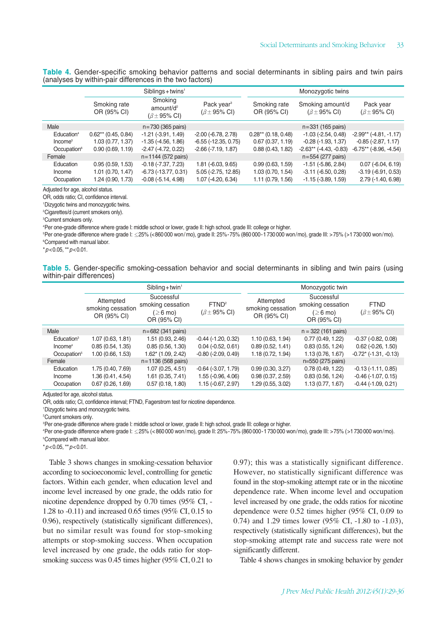| Table 4. Gender-specific smoking behavior patterns and social determinants in sibling pairs and twin pairs |  |  |  |  |  |  |
|------------------------------------------------------------------------------------------------------------|--|--|--|--|--|--|
| (analyses by within-pair differences in the two factors)                                                   |  |  |  |  |  |  |

|                         |                             | $Sibling + twins1$                                                |                                                         | Monozygotic twins           |                                                   |                                            |  |  |
|-------------------------|-----------------------------|-------------------------------------------------------------------|---------------------------------------------------------|-----------------------------|---------------------------------------------------|--------------------------------------------|--|--|
|                         | Smoking rate<br>OR (95% CI) | Smoking<br>amount/d <sup>2</sup><br>$(\beta \pm 95\% \text{ Cl})$ | Pack year <sup>3</sup><br>$(\beta \pm 95\% \text{ Cl})$ | Smoking rate<br>OR (95% CI) | Smoking amount/d<br>$(\beta \pm 95\% \text{ Cl})$ | Pack year<br>$(\beta \pm 95\% \text{ Cl})$ |  |  |
| Male                    |                             | $n = 730$ (365 pairs)                                             |                                                         |                             | $n = 331$ (165 pairs)                             |                                            |  |  |
| Education <sup>4</sup>  | $0.62**$ (0.45, 0.84)       | $-1.21$ $(-3.91, 1.49)$                                           | $-2.00$ $(-6.78, 2.78)$                                 | $0.28**$ (0.18, 0.48)       | $-1.03$ $(-2.54, 0.48)$                           | $-2.99**$ ( $-4.81$ , $-1.17$ )            |  |  |
| Income <sup>5</sup>     | 1.03 (0.77, 1.37)           | $-1.35$ $(-4.56, 1.86)$                                           | $-6.55$ ( $-12.35$ , 0.75)                              | 0.67(0.37, 1.19)            | $-0.28$ $(-1.93, 1.37)$                           | $-0.85$ $(-2.87, 1.17)$                    |  |  |
| Occupation <sup>6</sup> | 0.90(0.69, 1.19)            | $-2.47$ ( $-4.72$ , 0.22)                                         | $-2.66$ $(-7.19, 1.87)$                                 | 0.88(0.43, 1.82)            | $-2.63**$ ( $-4.43$ , $-0.83$ )                   | $-6.75**$ ( $-8.96$ , $-4.54$ )            |  |  |
| Female                  |                             | $n = 1144$ (572 pairs)                                            |                                                         |                             | $n = 554 (277 \text{ pairs})$                     |                                            |  |  |
| Education               | 0.95(0.59, 1.53)            | $-0.18$ $(-7.37, 7.23)$                                           | $1.81$ ( $-6.03, 9.65$ )                                | 0.99(0.63, 1.59)            | $-1.51$ ( $-5.86$ , $2.84$ )                      | $0.07$ (-6.04, 6.19)                       |  |  |
| Income                  | 1.01(0.70, 1.47)            | $-6.73$ $(-13.77, 0.31)$                                          | 5.05 (-2.75, 12.85)                                     | 1.03(0.70, 1.54)            | $-3.11$ $(-6.50, 0.28)$                           | $-3.19(-6.91, 0.53)$                       |  |  |
| Occupation              | 1.24 (0.90, 1.73)           | $-0.08(-5.14, 4.98)$                                              | $1.07$ (-4.20, 6.34)                                    | 1.11(0.79, 1.56)            | $-1.15$ $(-3.89, 1.59)$                           | 2.79 (-1.40, 6.98)                         |  |  |

Adjusted for age, alcohol status.

OR, odds ratio; CI, confidence interval.

1 Dizygotic twins and monozygotic twins.

2 Cigarettes/d (current smokers only).

3 Current smokers only.

4 Per one-grade difference where grade I: middle school or lower, grade II: high school, grade III: college or higher.

5 Per one-grade difference where grade I: ≤25% (<860000 won/mo), grade II: 25%-75% (860 000-1730000 won/mo), grade III: >75% (>1730000 won/mo). 6 Compared with manual labor.

\**p*<0.05, \*\**p*<0.01.

**Table 5.** Gender-specific smoking-cessation behavior and social determinants in sibling and twin pairs (using within-pair differences)

|                         |                                               | $Sibling + twin^1$                                                       |                                                    | Monozygotic twin                              |                                                                          |                                                 |  |
|-------------------------|-----------------------------------------------|--------------------------------------------------------------------------|----------------------------------------------------|-----------------------------------------------|--------------------------------------------------------------------------|-------------------------------------------------|--|
|                         | Attempted<br>smoking cessation<br>OR (95% CI) | Successful<br>smoking cessation<br>$( \geq 6 \text{ mo})$<br>OR (95% CI) | FTND <sup>2</sup><br>$(\beta \pm 95\% \text{ Cl})$ | Attempted<br>smoking cessation<br>OR (95% CI) | Successful<br>smoking cessation<br>$( \geq 6 \text{ mo})$<br>OR (95% CI) | <b>FTND</b><br>$(\beta \pm 95\% \text{ Cl})$    |  |
| Male                    |                                               | $n = 682$ (341 pairs)                                                    |                                                    |                                               | $n = 322$ (161 pairs)                                                    |                                                 |  |
| Education <sup>3</sup>  | 1.07(0.63, 1.81)                              | 1.51 (0.93, 2.46)                                                        | $-0.44$ $(-1.20, 0.32)$                            | 1.10(0.63, 1.94)                              | 0.77(0.49, 1.22)                                                         | $-0.37$ $(-0.82, 0.08)$                         |  |
| Income <sup>4</sup>     | 0.85(0.54, 1.35)                              | 0.85(0.56, 1.30)                                                         | $0.04$ ( $-0.52$ , $0.61$ )                        | 0.89(0.52, 1.41)                              | 0.83(0.55, 1.24)                                                         | $0.62$ ( $-0.26$ , $1.50$ )                     |  |
| Occupation <sup>5</sup> | 1.00(0.66, 1.53)                              | $1.62^*$ (1.09, 2.42)                                                    | $-0.80$ $(-2.09, 0.49)$                            | 1.18 (0.72, 1.94)                             | 1.13 (0.76, 1.67)                                                        | $-0.72$ ( $-1.31$ , $-0.13$ )                   |  |
| Female                  |                                               | $n = 1136 (568 \text{ pairs})$                                           |                                                    |                                               | n=550 (275 pairs)                                                        |                                                 |  |
| Education<br>Income     | 1.75 (0.40, 7.69)<br>1.36 (0.41, 4.54)        | 1.07(0.25, 4.51)<br>1.61(0.35, 7.41)                                     | $-0.64$ $(-3.07, 1.79)$<br>1.55 (-0.96, 4.06)      | 0.99(0.30, 3.27)<br>0.98(0.37, 2.59)          | 0.78(0.49, 1.22)<br>0.83(0.56, 1.24)                                     | $-0.13(-1.11, 0.85)$<br>$-0.46$ $(-1.07, 0.15)$ |  |
| Occupation              | 0.67(0.26, 1.69)                              | 0.57(0.18, 1.80)                                                         | 1.15 (-0.67, 2.97)                                 | 1.29 (0.55, 3.02)                             | 1.13(0.77, 1.67)                                                         | $-0.44$ $(-1.09, 0.21)$                         |  |

Adjusted for age, alcohol status.

OR, odds ratio; CI, confidence interval; FTND, Fagerstrom test for nicotine dependence.

1 Dizygotic twins and monozygotic twins.

2 Current smokers only.

3 Per one-grade difference where grade I: middle school or lower, grade II: high school, grade III: college or higher.

4 Per one-grade difference where grade I: ≤25% (<860000 won/mo), grade II: 25%-75% (860 000-1730000 won/mo), grade III: >75% (>1730000 won/mo). 5 Compared with manual labor.

\**p*<0.05, \*\**p*<0.01.

Table 3 shows changes in smoking-cessation behavior according to socioeconomic level, controlling for genetic factors. Within each gender, when education level and income level increased by one grade, the odds ratio for nicotine dependence dropped by 0.70 times (95% CI, - 1.28 to -0.11) and increased 0.65 times (95% CI, 0.15 to 0.96), respectively (statistically significant differences), but no similar result was found for stop-smoking attempts or stop-smoking success. When occupation level increased by one grade, the odds ratio for stopsmoking success was 0.45 times higher (95% CI, 0.21 to 0.97); this was a statistically significant difference. However, no statistically significant difference was found in the stop-smoking attempt rate or in the nicotine dependence rate. When income level and occupation level increased by one grade, the odds ratios for nicotine dependence were 0.52 times higher (95% CI, 0.09 to 0.74) and 1.29 times lower (95% CI, -1.80 to -1.03), respectively (statistically significant differences), but the stop-smoking attempt rate and success rate were not significantly different.

Table 4 shows changes in smoking behavior by gender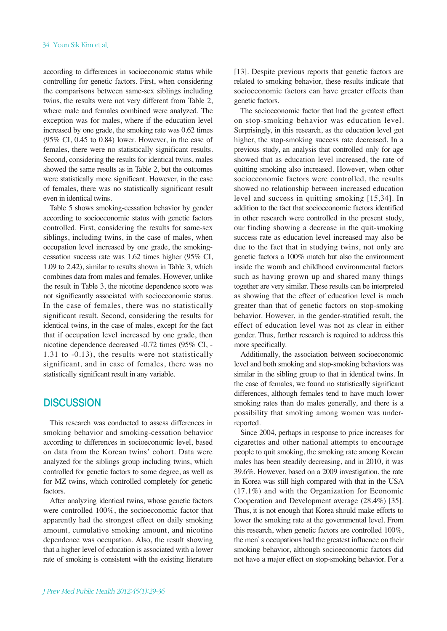according to differences in socioeconomic status while controlling for genetic factors. First, when considering the comparisons between same-sex siblings including twins, the results were not very different from Table 2, where male and females combined were analyzed. The exception was for males, where if the education level increased by one grade, the smoking rate was 0.62 times (95% CI, 0.45 to 0.84) lower. However, in the case of females, there were no statistically significant results. Second, considering the results for identical twins, males showed the same results as in Table 2, but the outcomes were statistically more significant. However, in the case of females, there was no statistically significant result even in identical twins.

Table 5 shows smoking-cessation behavior by gender according to socioeconomic status with genetic factors controlled. First, considering the results for same-sex siblings, including twins, in the case of males, when occupation level increased by one grade, the smokingcessation success rate was 1.62 times higher (95% CI, 1.09 to 2.42), similar to results shown in Table 3, which combines data from males and females. However, unlike the result in Table 3, the nicotine dependence score was not significantly associated with socioeconomic status. In the case of females, there was no statistically significant result. Second, considering the results for identical twins, in the case of males, except for the fact that if occupation level increased by one grade, then nicotine dependence decreased -0.72 times (95% CI, - 1.31 to -0.13), the results were not statistically significant, and in case of females, there was no statistically significant result in any variable.

## **DISCUSSION**

This research was conducted to assess differences in smoking behavior and smoking-cessation behavior according to differences in socioeconomic level, based on data from the Korean twins' cohort. Data were analyzed for the siblings group including twins, which controlled for genetic factors to some degree, as well as for MZ twins, which controlled completely for genetic factors.

After analyzing identical twins, whose genetic factors were controlled 100%, the socioeconomic factor that apparently had the strongest effect on daily smoking amount, cumulative smoking amount, and nicotine dependence was occupation. Also, the result showing that a higher level of education is associated with a lower rate of smoking is consistent with the existing literature

[13]. Despite previous reports that genetic factors are related to smoking behavior, these results indicate that socioeconomic factors can have greater effects than genetic factors.

The socioeconomic factor that had the greatest effect on stop-smoking behavior was education level. Surprisingly, in this research, as the education level got higher, the stop-smoking success rate decreased. In a previous study, an analysis that controlled only for age showed that as education level increased, the rate of quitting smoking also increased. However, when other socioeconomic factors were controlled, the results showed no relationship between increased education level and success in quitting smoking [15,34]. In addition to the fact that socioeconomic factors identified in other research were controlled in the present study, our finding showing a decrease in the quit-smoking success rate as education level increased may also be due to the fact that in studying twins, not only are genetic factors a 100% match but also the environment inside the womb and childhood environmental factors such as having grown up and shared many things together are very similar. These results can be interpreted as showing that the effect of education level is much greater than that of genetic factors on stop-smoking behavior. However, in the gender-stratified result, the effect of education level was not as clear in either gender. Thus, further research is required to address this more specifically.

Additionally, the association between socioeconomic level and both smoking and stop-smoking behaviors was similar in the sibling group to that in identical twins. In the case of females, we found no statistically significant differences, although females tend to have much lower smoking rates than do males generally, and there is a possibility that smoking among women was underreported.

Since 2004, perhaps in response to price increases for cigarettes and other national attempts to encourage people to quit smoking, the smoking rate among Korean males has been steadily decreasing, and in 2010, it was 39.6%. However, based on a 2009 investigation, the rate in Korea was still high compared with that in the USA (17.1%) and with the Organization for Economic Cooperation and Development average (28.4%) [35]. Thus, it is not enough that Korea should make efforts to lower the smoking rate at the governmental level. From this research, when genetic factors are controlled 100%, the men's occupations had the greatest influence on their smoking behavior, although socioeconomic factors did not have a major effect on stop-smoking behavior. For a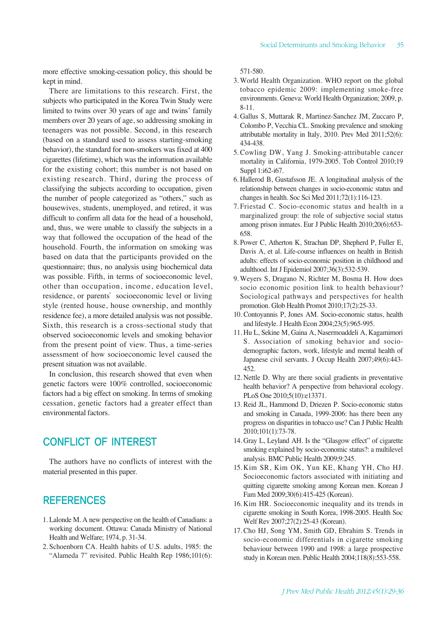more effective smoking-cessation policy, this should be kept in mind.

There are limitations to this research. First, the subjects who participated in the Korea Twin Study were limited to twins over 30 years of age and twins' family members over 20 years of age, so addressing smoking in teenagers was not possible. Second, in this research (based on a standard used to assess starting-smoking behavior), the standard for non-smokers was fixed at 400 cigarettes (lifetime), which was the information available for the existing cohort; this number is not based on existing research. Third, during the process of classifying the subjects according to occupation, given the number of people categorized as "others," such as housewives, students, unemployed, and retired, it was difficult to confirm all data for the head of a household, and, thus, we were unable to classify the subjects in a way that followed the occupation of the head of the household. Fourth, the information on smoking was based on data that the participants provided on the questionnaire; thus, no analysis using biochemical data was possible. Fifth, in terms of socioeconomic level, other than occupation, income, education level, residence, or parents' socioeconomic level or living style (rented house, house ownership, and monthly residence fee), a more detailed analysis was not possible. Sixth, this research is a cross-sectional study that observed socioeconomic levels and smoking behavior from the present point of view. Thus, a time-series assessment of how socioeconomic level caused the present situation was not available.

In conclusion, this research showed that even when genetic factors were 100% controlled, socioeconomic factors had a big effect on smoking. In terms of smoking cessation, genetic factors had a greater effect than environmental factors.

# CONFLICT OF INTEREST

The authors have no conflicts of interest with the material presented in this paper.

## **REFERENCES**

- 1. Lalonde M. A new perspective on the health of Canadians: a working document. Ottawa: Canada Ministry of National Health and Welfare; 1974, p. 31-34.
- 2. Schoenborn CA. Health habits of U.S. adults, 1985: the "Alameda 7" revisited. Public Health Rep 1986;101(6):

571-580.

- 3. World Health Organization. WHO report on the global tobacco epidemic 2009: implementing smoke-free environments. Geneva: World Health Organization; 2009, p. 8-11.
- 4. Gallus S, Muttarak R, Martinez-Sanchez JM, Zuccaro P, Colombo P, Vecchia CL. Smoking prevalence and smoking attributable mortality in Italy, 2010. Prev Med 2011;52(6): 434-438.
- 5. Cowling DW, Yang J. Smoking-attributable cancer mortality in California, 1979-2005. Tob Control 2010;19 Suppl 1:i62-i67.
- 6. Hallerod B, Gustafsson JE. A longitudinal analysis of the relationship between changes in socio-economic status and changes in health. Soc Sci Med 2011;72(1):116-123.
- 7. Friestad C. Socio-economic status and health in a marginalized group: the role of subjective social status among prison inmates. Eur J Public Health 2010;20(6):653- 658.
- 8. Power C, Atherton K, Strachan DP, Shepherd P, Fuller E, Davis A, et al. Life-course influences on health in British adults: effects of socio-economic position in childhood and adulthood. Int J Epidemiol 2007;36(3):532-539.
- 9. Weyers S, Dragano N, Richter M, Bosma H. How does socio economic position link to health behaviour? Sociological pathways and perspectives for health promotion. Glob Health Promot 2010;17(2):25-33.
- 10. Contoyannis P, Jones AM. Socio-economic status, health and lifestyle. J Health Econ 2004;23(5):965-995.
- 11. Hu L, Sekine M, Gaina A, Nasermoaddeli A, Kagamimori S. Association of smoking behavior and sociodemographic factors, work, lifestyle and mental health of Japanese civil servants. J Occup Health 2007;49(6):443- 452.
- 12. Nettle D. Why are there social gradients in preventative health behavior? A perspective from behavioral ecology. PLoS One 2010;5(10):e13371.
- 13. Reid JL, Hammond D, Driezen P. Socio-economic status and smoking in Canada, 1999-2006: has there been any progress on disparities in tobacco use? Can J Public Health 2010;101(1):73-78.
- 14. Gray L, Leyland AH. Is the "Glasgow effect" of cigarette smoking explained by socio-economic status?: a multilevel analysis. BMC Public Health 2009;9:245.
- 15. Kim SR, Kim OK, Yun KE, Khang YH, Cho HJ. Socioeconomic factors associated with initiating and quitting cigarette smoking among Korean men. Korean J Fam Med 2009;30(6):415-425 (Korean).
- 16. Kim HR. Socioeconomic inequality and its trends in cigarette smoking in South Korea, 1998-2005. Health Soc Welf Rev 2007;27(2):25-43 (Korean).
- 17. Cho HJ, Song YM, Smith GD, Ebrahim S. Trends in socio-economic differentials in cigarette smoking behaviour between 1990 and 1998: a large prospective study in Korean men. Public Health 2004;118(8):553-558.